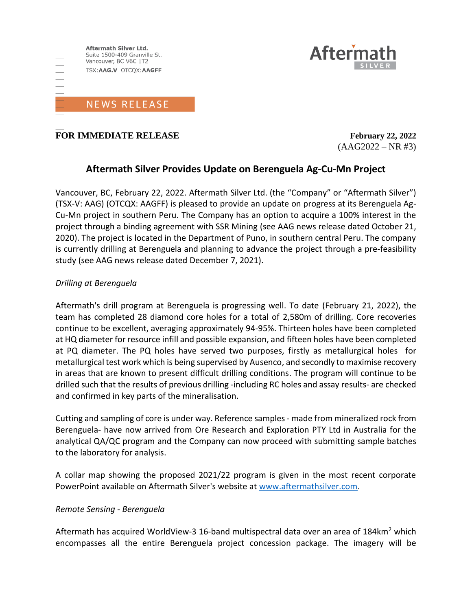

**FOR IMMEDIATE RELEASE** *February 22, 2022* 

 $(AAG2022 - NR #3)$ 

**Aftern** 

## **Aftermath Silver Provides Update on Berenguela Ag-Cu-Mn Project**

Vancouver, BC, February 22, 2022. Aftermath Silver Ltd. (the "Company" or "Aftermath Silver") (TSX-V: AAG) (OTCQX: AAGFF) is pleased to provide an update on progress at its Berenguela Ag-Cu-Mn project in southern Peru. The Company has an option to acquire a 100% interest in the project through a binding agreement with SSR Mining (see AAG news release dated October 21, 2020). The project is located in the Department of Puno, in southern central Peru. The company is currently drilling at Berenguela and planning to advance the project through a pre-feasibility study (see AAG news release dated December 7, 2021).

### *Drilling at Berenguela*

Aftermath's drill program at Berenguela is progressing well. To date (February 21, 2022), the team has completed 28 diamond core holes for a total of 2,580m of drilling. Core recoveries continue to be excellent, averaging approximately 94-95%. Thirteen holes have been completed at HQ diameter for resource infill and possible expansion, and fifteen holes have been completed at PQ diameter. The PQ holes have served two purposes, firstly as metallurgical holes for metallurgical test work which is being supervised by Ausenco, and secondly to maximise recovery in areas that are known to present difficult drilling conditions. The program will continue to be drilled such that the results of previous drilling -including RC holes and assay results- are checked and confirmed in key parts of the mineralisation.

Cutting and sampling of core is under way. Reference samples - made from mineralized rock from Berenguela- have now arrived from Ore Research and Exploration PTY Ltd in Australia for the analytical QA/QC program and the Company can now proceed with submitting sample batches to the laboratory for analysis.

A collar map showing the proposed 2021/22 program is given in the most recent corporate PowerPoint available on Aftermath Silver's website at [www.aftermathsilver.com.](http://www.aftermathsilver.com/)

### *Remote Sensing - Berenguela*

Aftermath has acquired WorldView-3 16-band multispectral data over an area of 184 $km^2$  which encompasses all the entire Berenguela project concession package. The imagery will be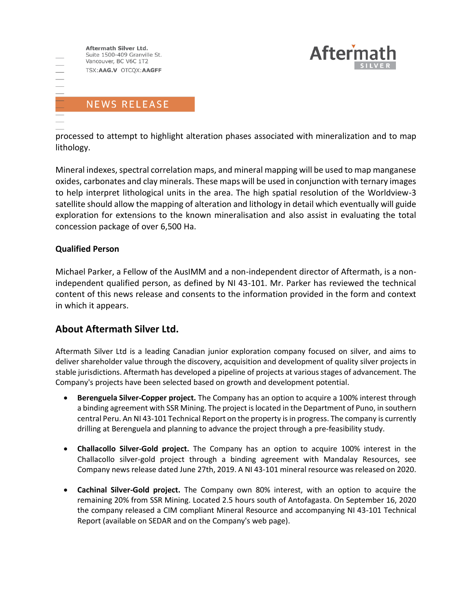



processed to attempt to highlight alteration phases associated with mineralization and to map lithology.

Mineral indexes, spectral correlation maps, and mineral mapping will be used to map manganese oxides, carbonates and clay minerals. These maps will be used in conjunction with ternary images to help interpret lithological units in the area. The high spatial resolution of the Worldview-3 satellite should allow the mapping of alteration and lithology in detail which eventually will guide exploration for extensions to the known mineralisation and also assist in evaluating the total concession package of over 6,500 Ha.

#### **Qualified Person**

Michael Parker, a Fellow of the AusIMM and a non-independent director of Aftermath, is a nonindependent qualified person, as defined by NI 43-101. Mr. Parker has reviewed the technical content of this news release and consents to the information provided in the form and context in which it appears.

### **About Aftermath Silver Ltd.**

Aftermath Silver Ltd is a leading Canadian junior exploration company focused on silver, and aims to deliver shareholder value through the discovery, acquisition and development of quality silver projects in stable jurisdictions. Aftermath has developed a pipeline of projects at various stages of advancement. The Company's projects have been selected based on growth and development potential.

- **Berenguela Silver-Copper project.** The Company has an option to acquire a 100% interest through a binding agreement with SSR Mining. The project is located in the Department of Puno, in southern central Peru. An NI 43-101 Technical Report on the property is in progress. The company is currently drilling at Berenguela and planning to advance the project through a pre-feasibility study.
- **Challacollo Silver-Gold project.** The Company has an option to acquire 100% interest in the Challacollo silver-gold project through a binding agreement with Mandalay Resources, see Company news release dated June 27th, 2019. A NI 43-101 mineral resource was released on 2020.
- **Cachinal Silver-Gold project.** The Company own 80% interest, with an option to acquire the remaining 20% from SSR Mining. Located 2.5 hours south of Antofagasta. On September 16, 2020 the company released a CIM compliant Mineral Resource and accompanying NI 43-101 Technical Report (available on SEDAR and on the Company's web page).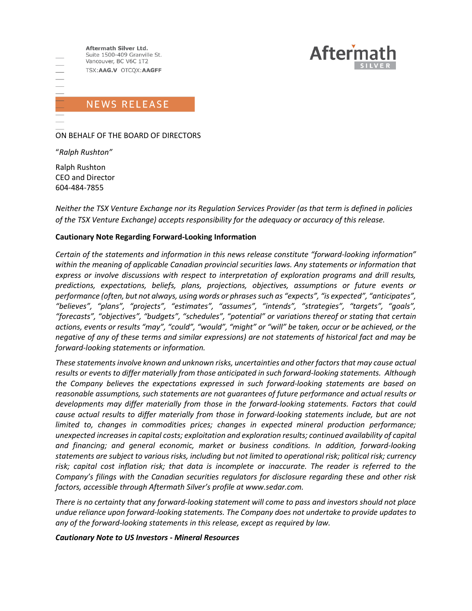

# **NEWS RELEASE**

ON BEHALF OF THE BOARD OF DIRECTORS

"*Ralph Rushton"*

Ralph Rushton CEO and Director 604-484-7855

*Neither the TSX Venture Exchange nor its Regulation Services Provider (as that term is defined in policies of the TSX Venture Exchange) accepts responsibility for the adequacy or accuracy of this release.*

#### **Cautionary Note Regarding Forward-Looking Information**

*Certain of the statements and information in this news release constitute "forward-looking information" within the meaning of applicable Canadian provincial securities laws. Any statements or information that express or involve discussions with respect to interpretation of exploration programs and drill results, predictions, expectations, beliefs, plans, projections, objectives, assumptions or future events or performance (often, but not always, using words or phrases such as "expects", "is expected", "anticipates", "believes", "plans", "projects", "estimates", "assumes", "intends", "strategies", "targets", "goals", "forecasts", "objectives", "budgets", "schedules", "potential" or variations thereof or stating that certain actions, events or results "may", "could", "would", "might" or "will" be taken, occur or be achieved, or the negative of any of these terms and similar expressions) are not statements of historical fact and may be forward-looking statements or information.*

*These statements involve known and unknown risks, uncertainties and other factors that may cause actual results or events to differ materially from those anticipated in such forward‐looking statements. Although the Company believes the expectations expressed in such forward‐looking statements are based on reasonable assumptions, such statements are not guarantees of future performance and actual results or developments may differ materially from those in the forward‐looking statements. Factors that could cause actual results to differ materially from those in forward‐looking statements include, but are not limited to, changes in commodities prices; changes in expected mineral production performance; unexpected increases in capital costs; exploitation and exploration results; continued availability of capital and financing; and general economic, market or business conditions. In addition, forward‐looking statements are subject to various risks, including but not limited to operational risk; political risk; currency risk; capital cost inflation risk; that data is incomplete or inaccurate. The reader is referred to the Company's filings with the Canadian securities regulators for disclosure regarding these and other risk factors, accessible through Aftermath Silver's profile at www.sedar.com.*

*There is no certainty that any forward‐looking statement will come to pass and investors should not place undue reliance upon forward‐looking statements. The Company does not undertake to provide updates to any of the forward‐looking statements in this release, except as required by law.*

#### *Cautionary Note to US Investors - Mineral Resources*